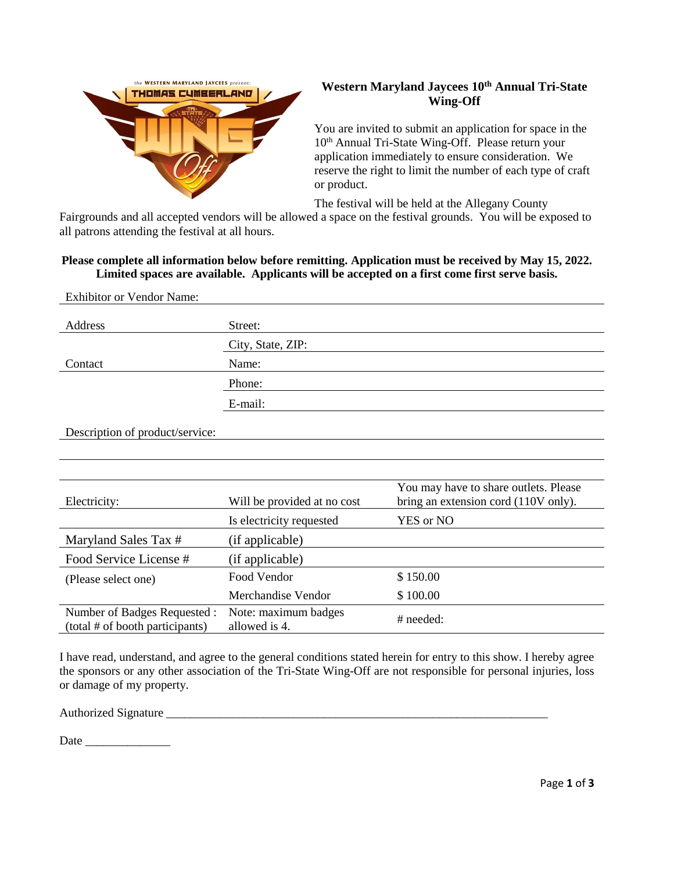

# **Western Maryland Jaycees 10th Annual Tri-State Wing-Off**

You are invited to submit an application for space in the 10<sup>th</sup> Annual Tri-State Wing-Off. Please return your application immediately to ensure consideration. We reserve the right to limit the number of each type of craft or product.

The festival will be held at the Allegany County

Fairgrounds and all accepted vendors will be allowed a space on the festival grounds. You will be exposed to all patrons attending the festival at all hours.

# **Please complete all information below before remitting. Application must be received by May 15, 2022. Limited spaces are available. Applicants will be accepted on a first come first serve basis.**

| <b>Exhibitor or Vendor Name:</b>                               |                                       |                                                                               |
|----------------------------------------------------------------|---------------------------------------|-------------------------------------------------------------------------------|
| Address                                                        | Street:                               |                                                                               |
|                                                                | City, State, ZIP:                     |                                                                               |
| Contact                                                        | Name:                                 |                                                                               |
|                                                                | Phone:                                |                                                                               |
|                                                                | E-mail:                               |                                                                               |
| Description of product/service:                                |                                       |                                                                               |
|                                                                |                                       |                                                                               |
| Electricity:                                                   | Will be provided at no cost           | You may have to share outlets. Please<br>bring an extension cord (110V only). |
|                                                                | Is electricity requested              | YES or NO                                                                     |
| Maryland Sales Tax #                                           | (if applicable)                       |                                                                               |
| Food Service License #                                         | (if applicable)                       |                                                                               |
| (Please select one)                                            | Food Vendor                           | \$150.00                                                                      |
|                                                                | Merchandise Vendor                    | \$100.00                                                                      |
| Number of Badges Requested:<br>(total # of booth participants) | Note: maximum badges<br>allowed is 4. | # needed:                                                                     |

I have read, understand, and agree to the general conditions stated herein for entry to this show. I hereby agree the sponsors or any other association of the Tri-State Wing-Off are not responsible for personal injuries, loss or damage of my property.

Authorized Signature \_\_\_\_\_\_\_\_\_\_\_\_\_\_\_\_\_\_\_\_\_\_\_\_\_\_\_\_\_\_\_\_\_\_\_\_\_\_\_\_\_\_\_\_\_\_\_\_\_\_\_\_\_\_\_\_\_\_\_\_\_\_\_

Date \_\_\_\_\_\_\_\_\_\_\_\_\_\_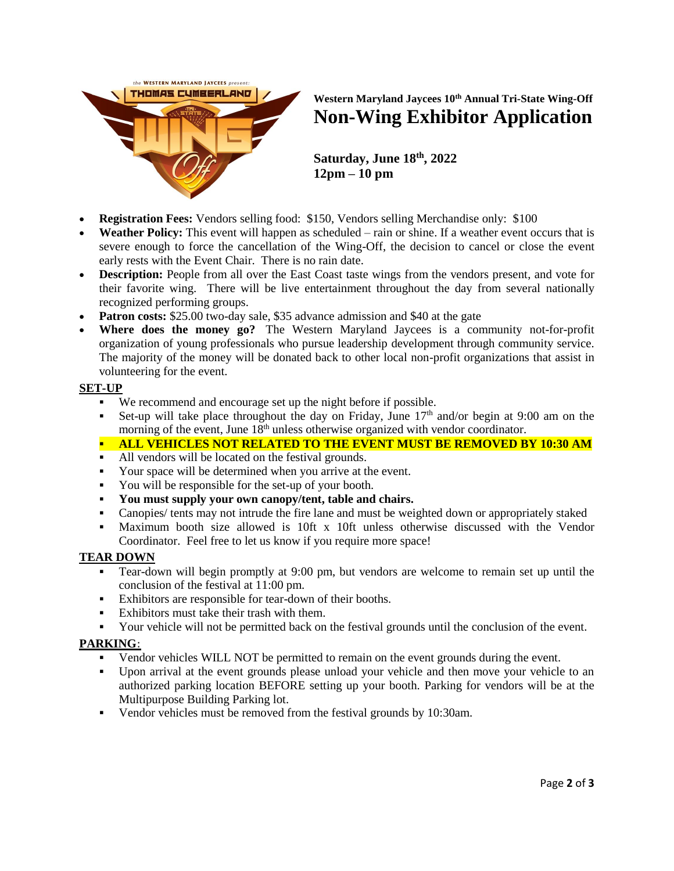

# **Western Maryland Jaycees 10th Annual Tri-State Wing-Off Non-Wing Exhibitor Application**

**Saturday, June 18th, 2022 12pm – 10 pm**

- **Registration Fees:** Vendors selling food: \$150, Vendors selling Merchandise only: \$100
- **Weather Policy:** This event will happen as scheduled rain or shine. If a weather event occurs that is severe enough to force the cancellation of the Wing-Off, the decision to cancel or close the event early rests with the Event Chair. There is no rain date.
- **Description:** People from all over the East Coast taste wings from the vendors present, and vote for their favorite wing. There will be live entertainment throughout the day from several nationally recognized performing groups.
- **Patron costs:** \$25.00 two-day sale, \$35 advance admission and \$40 at the gate
- **Where does the money go?** The Western Maryland Jaycees is a community not-for-profit organization of young professionals who pursue leadership development through community service. The majority of the money will be donated back to other local non-profit organizations that assist in volunteering for the event.

#### **SET-UP**

- We recommend and encourage set up the night before if possible.
- Set-up will take place throughout the day on Friday, June  $17<sup>th</sup>$  and/or begin at 9:00 am on the morning of the event, June  $18<sup>th</sup>$  unless otherwise organized with vendor coordinator.

**EXECUTE IN THE EVENT MUST BE REMOVED BY 10:30 AM** 

- All vendors will be located on the festival grounds.
- Your space will be determined when you arrive at the event.
- You will be responsible for the set-up of your booth.
- **You must supply your own canopy/tent, table and chairs.**
- Canopies/ tents may not intrude the fire lane and must be weighted down or appropriately staked
- Maximum booth size allowed is 10ft x 10ft unless otherwise discussed with the Vendor Coordinator. Feel free to let us know if you require more space!

#### **TEAR DOWN**

- Tear-down will begin promptly at 9:00 pm, but vendors are welcome to remain set up until the conclusion of the festival at 11:00 pm.
- Exhibitors are responsible for tear-down of their booths.
- Exhibitors must take their trash with them.
- Your vehicle will not be permitted back on the festival grounds until the conclusion of the event.

## **PARKING**:

- Vendor vehicles WILL NOT be permitted to remain on the event grounds during the event.
- Upon arrival at the event grounds please unload your vehicle and then move your vehicle to an authorized parking location BEFORE setting up your booth. Parking for vendors will be at the Multipurpose Building Parking lot.
- Vendor vehicles must be removed from the festival grounds by 10:30am.